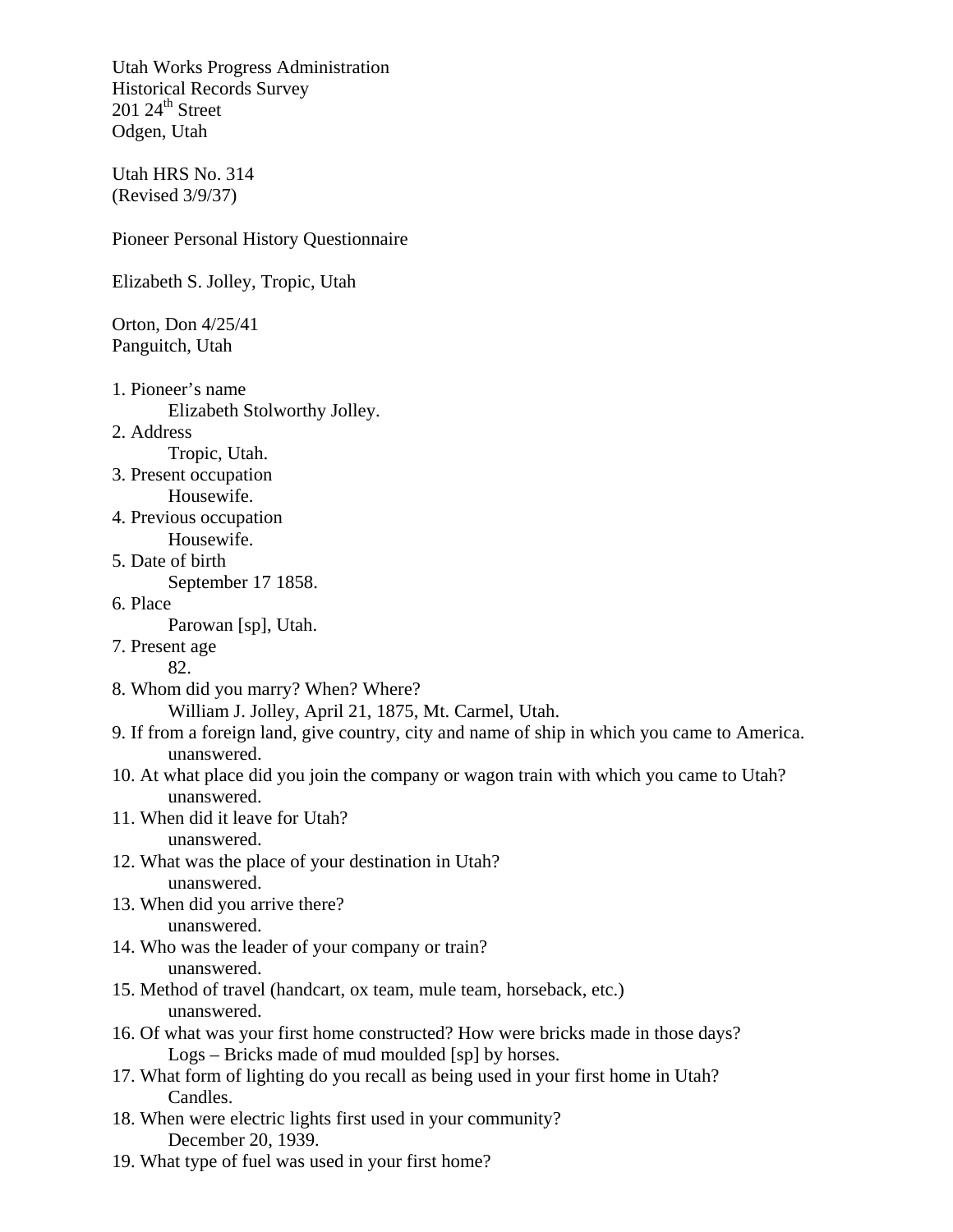Utah Works Progress Administration Historical Records Survey  $201 24$ <sup>th</sup> Street Odgen, Utah

Utah HRS No. 314 (Revised 3/9/37)

Pioneer Personal History Questionnaire

Elizabeth S. Jolley, Tropic, Utah

Orton, Don 4/25/41 Panguitch, Utah

- 1. Pioneer's name Elizabeth Stolworthy Jolley.
- 2. Address

Tropic, Utah.

- 3. Present occupation Housewife.
- 4. Previous occupation Housewife.
- 5. Date of birth

September 17 1858.

6. Place

Parowan [sp], Utah.

7. Present age

82.

8. Whom did you marry? When? Where?

William J. Jolley, April 21, 1875, Mt. Carmel, Utah.

- 9. If from a foreign land, give country, city and name of ship in which you came to America. unanswered.
- 10. At what place did you join the company or wagon train with which you came to Utah? unanswered.
- 11. When did it leave for Utah?

unanswered.

- 12. What was the place of your destination in Utah? unanswered.
- 13. When did you arrive there? unanswered.
- 14. Who was the leader of your company or train? unanswered.
- 15. Method of travel (handcart, ox team, mule team, horseback, etc.) unanswered.
- 16. Of what was your first home constructed? How were bricks made in those days? Logs – Bricks made of mud moulded [sp] by horses.
- 17. What form of lighting do you recall as being used in your first home in Utah? Candles.
- 18. When were electric lights first used in your community? December 20, 1939.
- 19. What type of fuel was used in your first home?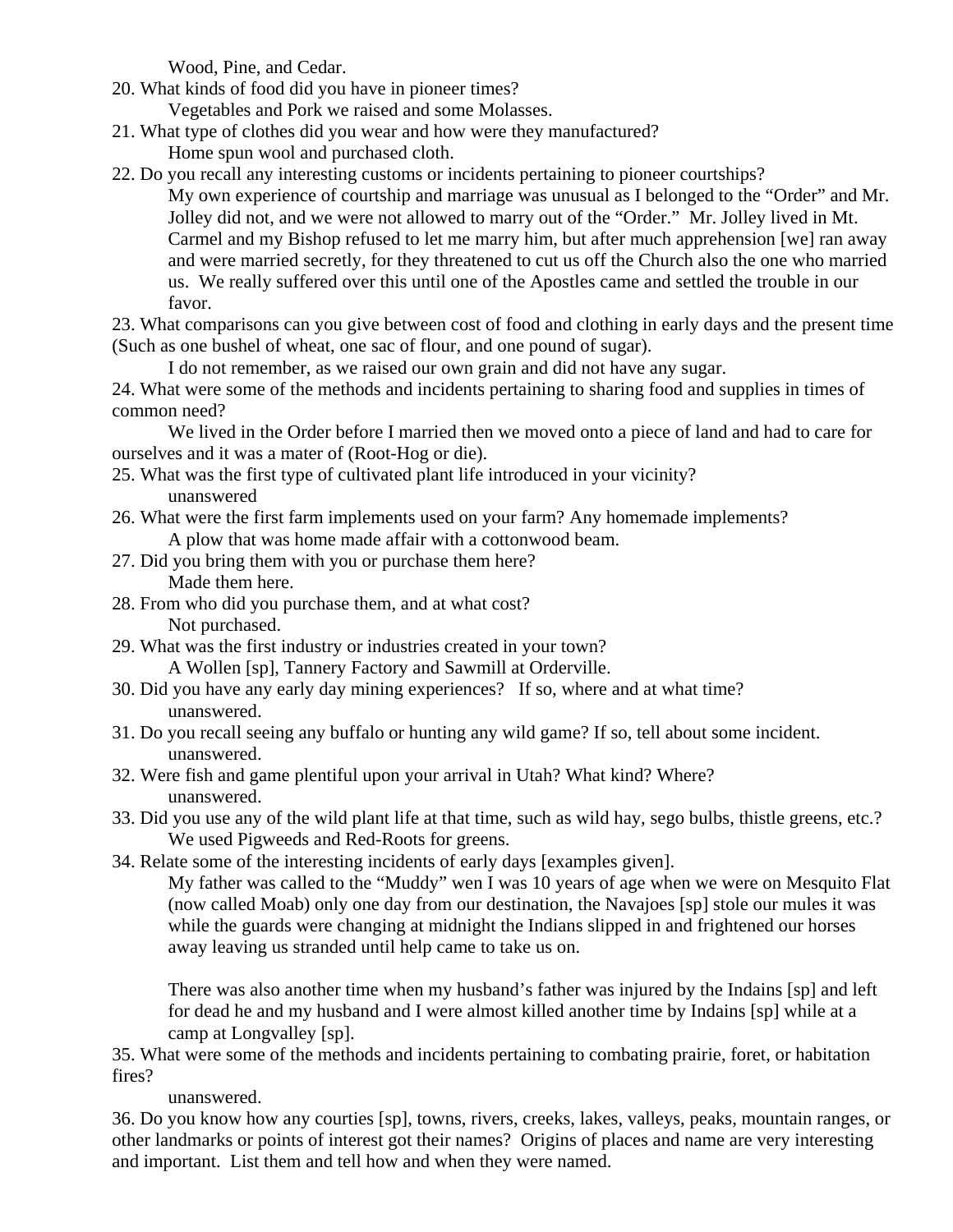Wood, Pine, and Cedar.

- 20. What kinds of food did you have in pioneer times? Vegetables and Pork we raised and some Molasses.
- 21. What type of clothes did you wear and how were they manufactured?
	- Home spun wool and purchased cloth.

22. Do you recall any interesting customs or incidents pertaining to pioneer courtships? My own experience of courtship and marriage was unusual as I belonged to the "Order" and Mr. Jolley did not, and we were not allowed to marry out of the "Order." Mr. Jolley lived in Mt. Carmel and my Bishop refused to let me marry him, but after much apprehension [we] ran away and were married secretly, for they threatened to cut us off the Church also the one who married us. We really suffered over this until one of the Apostles came and settled the trouble in our favor.

23. What comparisons can you give between cost of food and clothing in early days and the present time (Such as one bushel of wheat, one sac of flour, and one pound of sugar).

I do not remember, as we raised our own grain and did not have any sugar.

24. What were some of the methods and incidents pertaining to sharing food and supplies in times of common need?

 We lived in the Order before I married then we moved onto a piece of land and had to care for ourselves and it was a mater of (Root-Hog or die).

- 25. What was the first type of cultivated plant life introduced in your vicinity? unanswered
- 26. What were the first farm implements used on your farm? Any homemade implements? A plow that was home made affair with a cottonwood beam.
- 27. Did you bring them with you or purchase them here? Made them here.
- 28. From who did you purchase them, and at what cost? Not purchased.
- 29. What was the first industry or industries created in your town? A Wollen [sp], Tannery Factory and Sawmill at Orderville.
- 30. Did you have any early day mining experiences? If so, where and at what time? unanswered.
- 31. Do you recall seeing any buffalo or hunting any wild game? If so, tell about some incident. unanswered.
- 32. Were fish and game plentiful upon your arrival in Utah? What kind? Where? unanswered.
- 33. Did you use any of the wild plant life at that time, such as wild hay, sego bulbs, thistle greens, etc.? We used Pigweeds and Red-Roots for greens.
- 34. Relate some of the interesting incidents of early days [examples given].

My father was called to the "Muddy" wen I was 10 years of age when we were on Mesquito Flat (now called Moab) only one day from our destination, the Navajoes [sp] stole our mules it was while the guards were changing at midnight the Indians slipped in and frightened our horses away leaving us stranded until help came to take us on.

There was also another time when my husband's father was injured by the Indains [sp] and left for dead he and my husband and I were almost killed another time by Indains [sp] while at a camp at Longvalley [sp].

35. What were some of the methods and incidents pertaining to combating prairie, foret, or habitation fires?

unanswered.

36. Do you know how any courties [sp], towns, rivers, creeks, lakes, valleys, peaks, mountain ranges, or other landmarks or points of interest got their names? Origins of places and name are very interesting and important. List them and tell how and when they were named.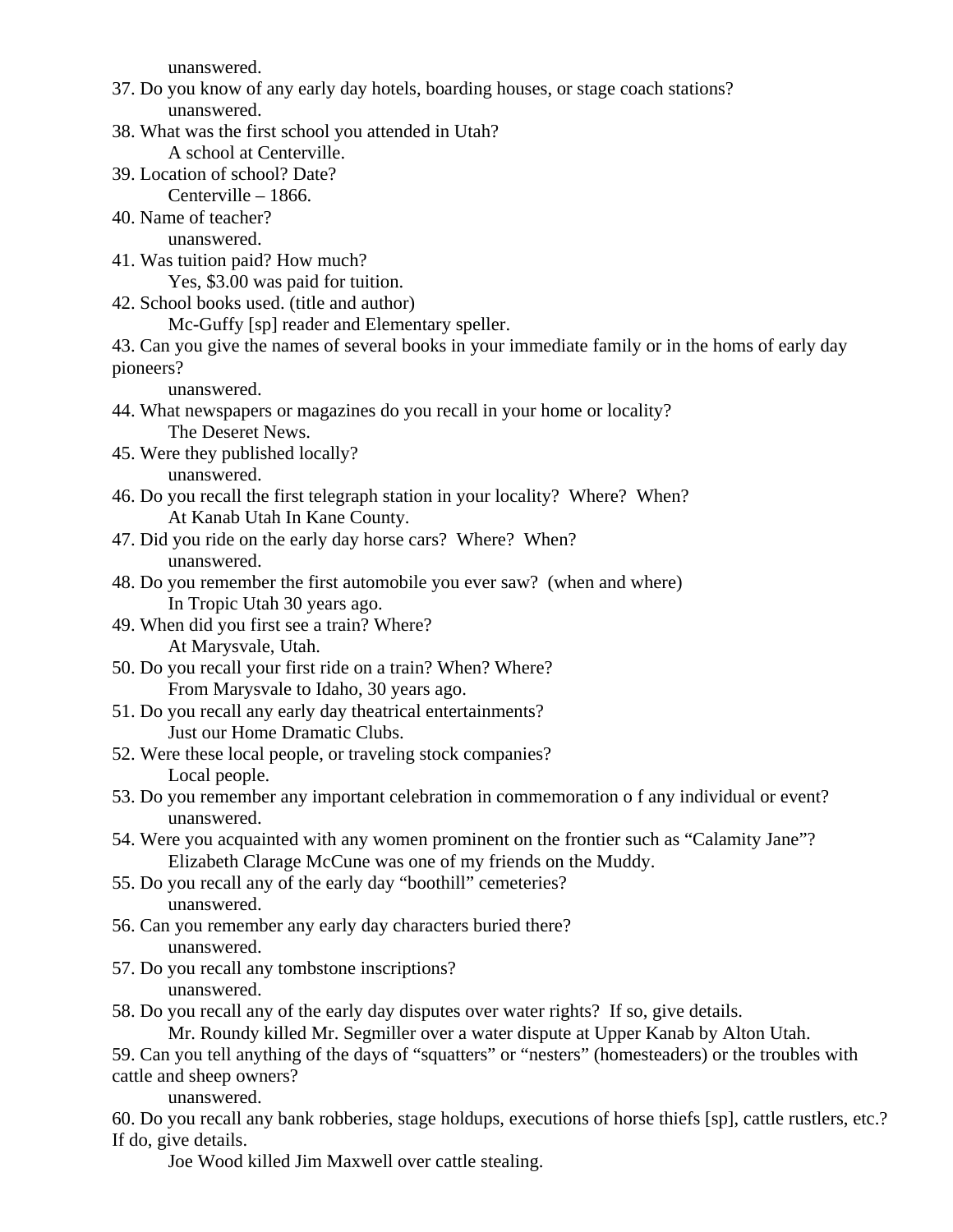unanswered.

- 37. Do you know of any early day hotels, boarding houses, or stage coach stations? unanswered.
- 38. What was the first school you attended in Utah?
	- A school at Centerville.
- 39. Location of school? Date?
- Centerville 1866. 40. Name of teacher?

unanswered.

41. Was tuition paid? How much?

Yes, \$3.00 was paid for tuition.

42. School books used. (title and author)

Mc-Guffy [sp] reader and Elementary speller.

43. Can you give the names of several books in your immediate family or in the homs of early day pioneers?

unanswered.

- 44. What newspapers or magazines do you recall in your home or locality? The Deseret News.
- 45. Were they published locally? unanswered.
- 46. Do you recall the first telegraph station in your locality? Where? When? At Kanab Utah In Kane County.
- 47. Did you ride on the early day horse cars? Where? When? unanswered.
- 48. Do you remember the first automobile you ever saw? (when and where) In Tropic Utah 30 years ago.
- 49. When did you first see a train? Where? At Marysvale, Utah.
- 50. Do you recall your first ride on a train? When? Where? From Marysvale to Idaho, 30 years ago.
- 51. Do you recall any early day theatrical entertainments? Just our Home Dramatic Clubs.
- 52. Were these local people, or traveling stock companies? Local people.
- 53. Do you remember any important celebration in commemoration o f any individual or event? unanswered.
- 54. Were you acquainted with any women prominent on the frontier such as "Calamity Jane"? Elizabeth Clarage McCune was one of my friends on the Muddy.
- 55. Do you recall any of the early day "boothill" cemeteries? unanswered.
- 56. Can you remember any early day characters buried there? unanswered.
- 57. Do you recall any tombstone inscriptions? unanswered.
- 58. Do you recall any of the early day disputes over water rights? If so, give details.

Mr. Roundy killed Mr. Segmiller over a water dispute at Upper Kanab by Alton Utah.

59. Can you tell anything of the days of "squatters" or "nesters" (homesteaders) or the troubles with cattle and sheep owners?

unanswered.

60. Do you recall any bank robberies, stage holdups, executions of horse thiefs [sp], cattle rustlers, etc.? If do, give details.

Joe Wood killed Jim Maxwell over cattle stealing.